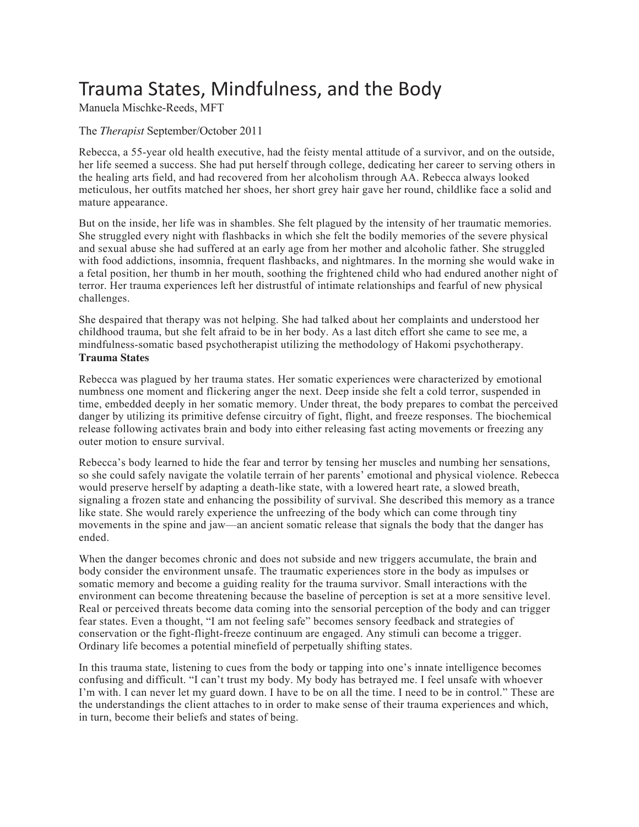# Trauma States, Mindfulness, and the Body

Manuela Mischke-Reeds, MFT

## The *Therapist* September/October 2011

Rebecca, a 55-year old health executive, had the feisty mental attitude of a survivor, and on the outside, her life seemed a success. She had put herself through college, dedicating her career to serving others in the healing arts field, and had recovered from her alcoholism through AA. Rebecca always looked meticulous, her outfits matched her shoes, her short grey hair gave her round, childlike face a solid and mature appearance.

But on the inside, her life was in shambles. She felt plagued by the intensity of her traumatic memories. She struggled every night with flashbacks in which she felt the bodily memories of the severe physical and sexual abuse she had suffered at an early age from her mother and alcoholic father. She struggled with food addictions, insomnia, frequent flashbacks, and nightmares. In the morning she would wake in a fetal position, her thumb in her mouth, soothing the frightened child who had endured another night of terror. Her trauma experiences left her distrustful of intimate relationships and fearful of new physical challenges.

She despaired that therapy was not helping. She had talked about her complaints and understood her childhood trauma, but she felt afraid to be in her body. As a last ditch effort she came to see me, a mindfulness-somatic based psychotherapist utilizing the methodology of Hakomi psychotherapy. **Trauma States**

Rebecca was plagued by her trauma states. Her somatic experiences were characterized by emotional numbness one moment and flickering anger the next. Deep inside she felt a cold terror, suspended in time, embedded deeply in her somatic memory. Under threat, the body prepares to combat the perceived danger by utilizing its primitive defense circuitry of fight, flight, and freeze responses. The biochemical release following activates brain and body into either releasing fast acting movements or freezing any outer motion to ensure survival.

Rebecca's body learned to hide the fear and terror by tensing her muscles and numbing her sensations, so she could safely navigate the volatile terrain of her parents' emotional and physical violence. Rebecca would preserve herself by adapting a death-like state, with a lowered heart rate, a slowed breath, signaling a frozen state and enhancing the possibility of survival. She described this memory as a trance like state. She would rarely experience the unfreezing of the body which can come through tiny movements in the spine and jaw—an ancient somatic release that signals the body that the danger has ended.

When the danger becomes chronic and does not subside and new triggers accumulate, the brain and body consider the environment unsafe. The traumatic experiences store in the body as impulses or somatic memory and become a guiding reality for the trauma survivor. Small interactions with the environment can become threatening because the baseline of perception is set at a more sensitive level. Real or perceived threats become data coming into the sensorial perception of the body and can trigger fear states. Even a thought, "I am not feeling safe" becomes sensory feedback and strategies of conservation or the fight-flight-freeze continuum are engaged. Any stimuli can become a trigger. Ordinary life becomes a potential minefield of perpetually shifting states.

In this trauma state, listening to cues from the body or tapping into one's innate intelligence becomes confusing and difficult. "I can't trust my body. My body has betrayed me. I feel unsafe with whoever I'm with. I can never let my guard down. I have to be on all the time. I need to be in control." These are the understandings the client attaches to in order to make sense of their trauma experiences and which, in turn, become their beliefs and states of being.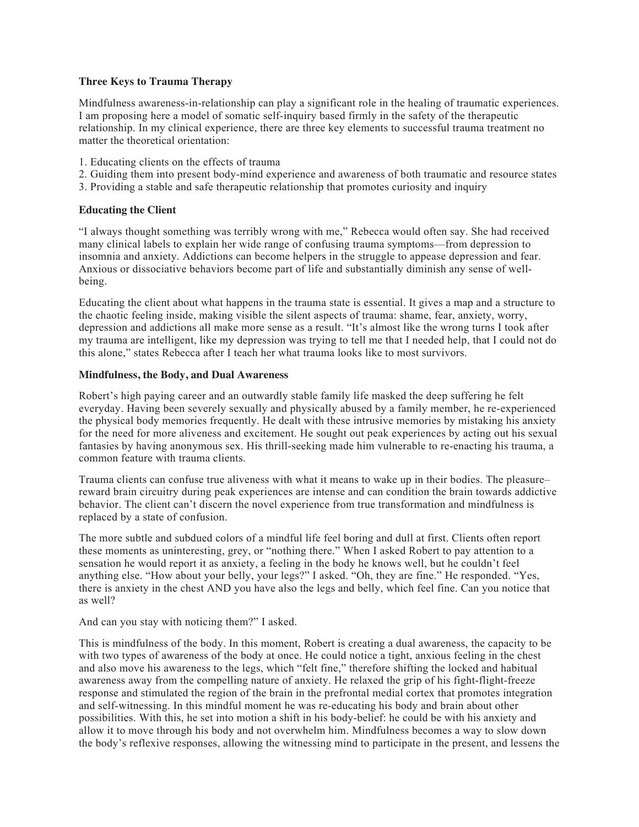### **Three Keys to Trauma Therapy**

Mindfulness awareness-in-relationship can play a significant role in the healing of traumatic experiences. I am proposing here a model of somatic self-inquiry based firmly in the safety of the therapeutic relationship. In my clinical experience, there are three key elements to successful trauma treatment no matter the theoretical orientation:

- 1. Educating clients on the effects of trauma
- 2. Guiding them into present body-mind experience and awareness of both traumatic and resource states
- 3. Providing a stable and safe therapeutic relationship that promotes curiosity and inquiry

# **Educating the Client**

"I always thought something was terribly wrong with me," Rebecca would often say. She had received many clinical labels to explain her wide range of confusing trauma symptoms—from depression to insomnia and anxiety. Addictions can become helpers in the struggle to appease depression and fear. Anxious or dissociative behaviors become part of life and substantially diminish any sense of wellbeing.

Educating the client about what happens in the trauma state is essential. It gives a map and a structure to the chaotic feeling inside, making visible the silent aspects of trauma: shame, fear, anxiety, worry, depression and addictions all make more sense as a result. "It's almost like the wrong turns I took after my trauma are intelligent, like my depression was trying to tell me that I needed help, that I could not do this alone," states Rebecca after I teach her what trauma looks like to most survivors.

## **Mindfulness, the Body, and Dual Awareness**

Robert's high paying career and an outwardly stable family life masked the deep suffering he felt everyday. Having been severely sexually and physically abused by a family member, he re-experienced the physical body memories frequently. He dealt with these intrusive memories by mistaking his anxiety for the need for more aliveness and excitement. He sought out peak experiences by acting out his sexual fantasies by having anonymous sex. His thrill-seeking made him vulnerable to re-enacting his trauma, a common feature with trauma clients.

Trauma clients can confuse true aliveness with what it means to wake up in their bodies. The pleasure– reward brain circuitry during peak experiences are intense and can condition the brain towards addictive behavior. The client can't discern the novel experience from true transformation and mindfulness is replaced by a state of confusion.

The more subtle and subdued colors of a mindful life feel boring and dull at first. Clients often report these moments as uninteresting, grey, or "nothing there." When I asked Robert to pay attention to a sensation he would report it as anxiety, a feeling in the body he knows well, but he couldn't feel anything else. "How about your belly, your legs?" I asked. "Oh, they are fine." He responded. "Yes, there is anxiety in the chest AND you have also the legs and belly, which feel fine. Can you notice that as well?

And can you stay with noticing them?" I asked.

This is mindfulness of the body. In this moment, Robert is creating a dual awareness, the capacity to be with two types of awareness of the body at once. He could notice a tight, anxious feeling in the chest and also move his awareness to the legs, which "felt fine," therefore shifting the locked and habitual awareness away from the compelling nature of anxiety. He relaxed the grip of his fight-flight-freeze response and stimulated the region of the brain in the prefrontal medial cortex that promotes integration and self-witnessing. In this mindful moment he was re-educating his body and brain about other possibilities. With this, he set into motion a shift in his body-belief: he could be with his anxiety and allow it to move through his body and not overwhelm him. Mindfulness becomes a way to slow down the body's reflexive responses, allowing the witnessing mind to participate in the present, and lessens the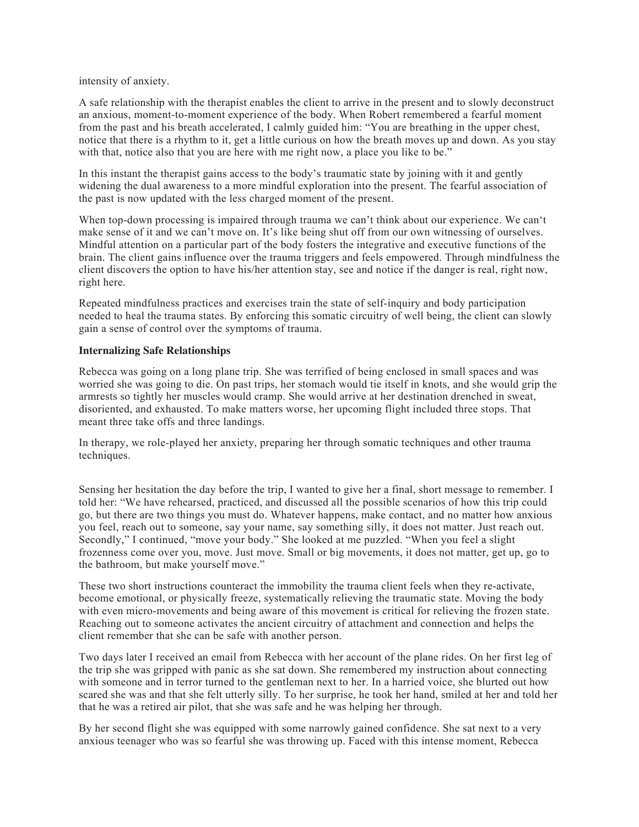intensity of anxiety.

A safe relationship with the therapist enables the client to arrive in the present and to slowly deconstruct an anxious, moment-to-moment experience of the body. When Robert remembered a fearful moment from the past and his breath accelerated, I calmly guided him: "You are breathing in the upper chest, notice that there is a rhythm to it, get a little curious on how the breath moves up and down. As you stay with that, notice also that you are here with me right now, a place you like to be."

In this instant the therapist gains access to the body's traumatic state by joining with it and gently widening the dual awareness to a more mindful exploration into the present. The fearful association of the past is now updated with the less charged moment of the present.

When top-down processing is impaired through trauma we can't think about our experience. We can't make sense of it and we can't move on. It's like being shut off from our own witnessing of ourselves. Mindful attention on a particular part of the body fosters the integrative and executive functions of the brain. The client gains influence over the trauma triggers and feels empowered. Through mindfulness the client discovers the option to have his/her attention stay, see and notice if the danger is real, right now, right here.

Repeated mindfulness practices and exercises train the state of self-inquiry and body participation needed to heal the trauma states. By enforcing this somatic circuitry of well being, the client can slowly gain a sense of control over the symptoms of trauma.

#### **Internalizing Safe Relationships**

Rebecca was going on a long plane trip. She was terrified of being enclosed in small spaces and was worried she was going to die. On past trips, her stomach would tie itself in knots, and she would grip the armrests so tightly her muscles would cramp. She would arrive at her destination drenched in sweat, disoriented, and exhausted. To make matters worse, her upcoming flight included three stops. That meant three take offs and three landings.

In therapy, we role-played her anxiety, preparing her through somatic techniques and other trauma techniques.

Sensing her hesitation the day before the trip, I wanted to give her a final, short message to remember. I told her: "We have rehearsed, practiced, and discussed all the possible scenarios of how this trip could go, but there are two things you must do. Whatever happens, make contact, and no matter how anxious you feel, reach out to someone, say your name, say something silly, it does not matter. Just reach out. Secondly," I continued, "move your body." She looked at me puzzled. "When you feel a slight frozenness come over you, move. Just move. Small or big movements, it does not matter, get up, go to the bathroom, but make yourself move."

These two short instructions counteract the immobility the trauma client feels when they re-activate, become emotional, or physically freeze, systematically relieving the traumatic state. Moving the body with even micro-movements and being aware of this movement is critical for relieving the frozen state. Reaching out to someone activates the ancient circuitry of attachment and connection and helps the client remember that she can be safe with another person.

Two days later I received an email from Rebecca with her account of the plane rides. On her first leg of the trip she was gripped with panic as she sat down. She remembered my instruction about connecting with someone and in terror turned to the gentleman next to her. In a harried voice, she blurted out how scared she was and that she felt utterly silly. To her surprise, he took her hand, smiled at her and told her that he was a retired air pilot, that she was safe and he was helping her through.

By her second flight she was equipped with some narrowly gained confidence. She sat next to a very anxious teenager who was so fearful she was throwing up. Faced with this intense moment, Rebecca